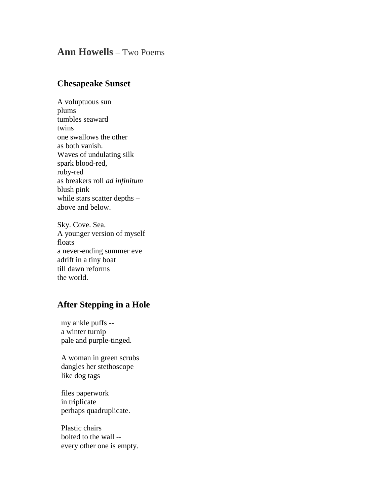## **Ann Howells** – Two Poems

## **Chesapeake Sunset**

A voluptuous sun plums tumbles seaward twins one swallows the other as both vanish. Waves of undulating silk spark blood-red, ruby-red as breakers roll *ad infinitum* blush pink while stars scatter depths above and below.

Sky. Cove. Sea. A younger version of myself floats a never-ending summer eve adrift in a tiny boat till dawn reforms the world.

## **After Stepping in a Hole**

my ankle puffs - a winter turnip pale and purple-tinged.

A woman in green scrubs dangles her stethoscope like dog tags

files paperwork in triplicate perhaps quadruplicate.

Plastic chairs bolted to the wall - every other one is empty.